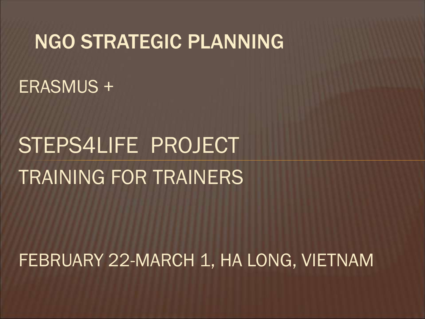#### NGO STRATEGIC PLANNING

ERASMUS +

### STEPS4LIFE PROJECT TRAINING FOR TRAINERS

#### FEBRUARY 22-MARCH 1, HA LONG, VIETNAM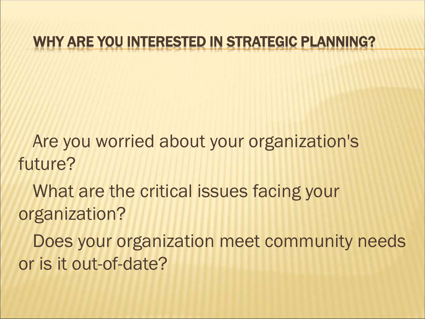#### WHY ARE YOU INTERESTED IN STRATEGIC PLANNING?

Are you worried about your organization's future?

What are the critical issues facing your organization?

Does your organization meet community needs or is it out-of-date?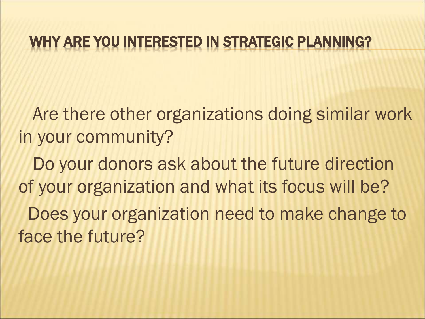#### WHY ARE YOU INTERESTED IN STRATEGIC PLANNING?

Are there other organizations doing similar work in your community?

Do your donors ask about the future direction of your organization and what its focus will be? Does your organization need to make change to face the future?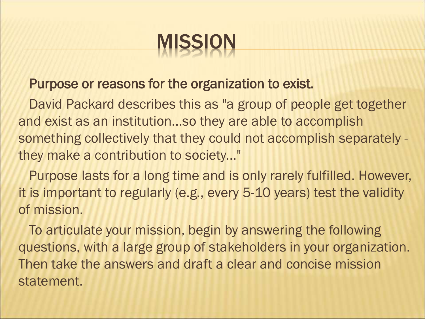

#### Purpose or reasons for the organization to exist.

David Packard describes this as "a group of people get together and exist as an institution...so they are able to accomplish something collectively that they could not accomplish separately they make a contribution to society..."

Purpose lasts for a long time and is only rarely fulfilled. However, it is important to regularly (e.g., every 5-10 years) test the validity of mission.

To articulate your mission, begin by answering the following questions, with a large group of stakeholders in your organization. Then take the answers and draft a clear and concise mission statement.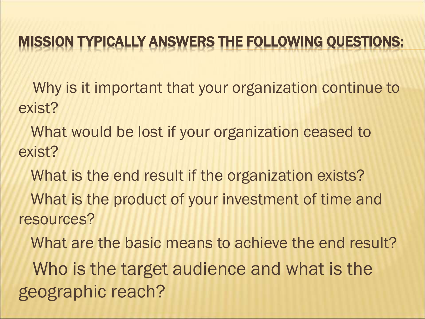#### MISSION TYPICALLY ANSWERS THE FOLLOWING QUESTIONS:

Why is it important that your organization continue to exist?

What would be lost if your organization ceased to exist?

What is the end result if the organization exists? What is the product of your investment of time and resources?

What are the basic means to achieve the end result? Who is the target audience and what is the geographic reach?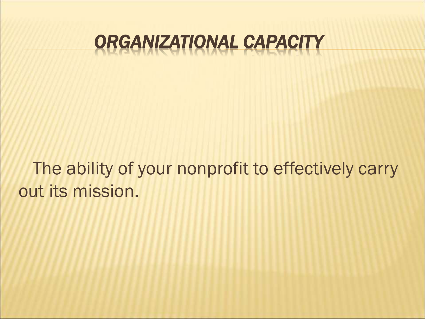#### *ORGANIZATIONAL CAPACITY*

The ability of your nonprofit to effectively carry out its mission.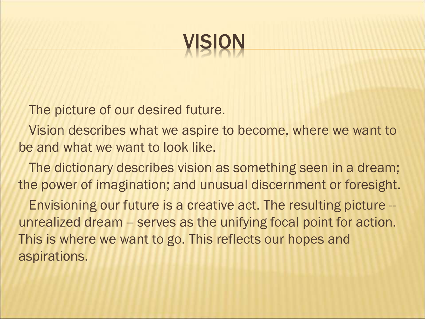

The picture of our desired future.

Vision describes what we aspire to become, where we want to be and what we want to look like.

The dictionary describes vision as something seen in a dream; the power of imagination; and unusual discernment or foresight.

Envisioning our future is a creative act. The resulting picture - unrealized dream -- serves as the unifying focal point for action. This is where we want to go. This reflects our hopes and aspirations.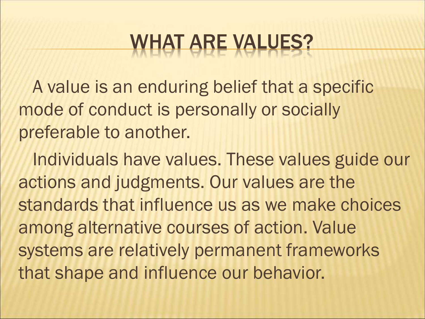A value is an enduring belief that a specific mode of conduct is personally or socially preferable to another.

Individuals have values. These values guide our actions and judgments. Our values are the standards that influence us as we make choices among alternative courses of action. Value systems are relatively permanent frameworks that shape and influence our behavior.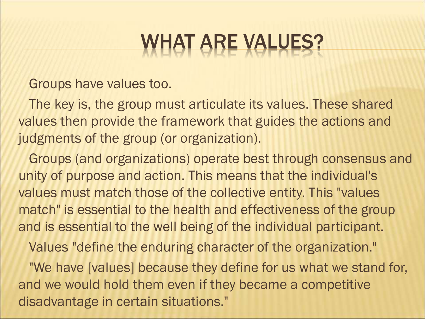Groups have values too.

The key is, the group must articulate its values. These shared values then provide the framework that guides the actions and judgments of the group (or organization).

Groups (and organizations) operate best through consensus and unity of purpose and action. This means that the individual's values must match those of the collective entity. This "values match" is essential to the health and effectiveness of the group and is essential to the well being of the individual participant.

Values "define the enduring character of the organization."

"We have [values] because they define for us what we stand for, and we would hold them even if they became a competitive disadvantage in certain situations."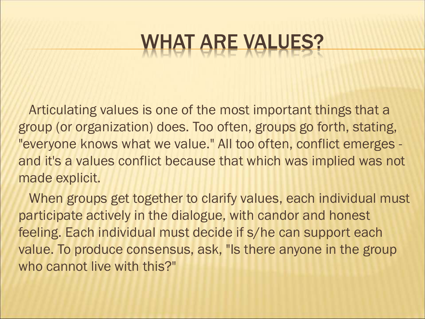Articulating values is one of the most important things that a group (or organization) does. Too often, groups go forth, stating, "everyone knows what we value." All too often, conflict emerges and it's a values conflict because that which was implied was not made explicit.

When groups get together to clarify values, each individual must participate actively in the dialogue, with candor and honest feeling. Each individual must decide if s/he can support each value. To produce consensus, ask, "Is there anyone in the group who cannot live with this?"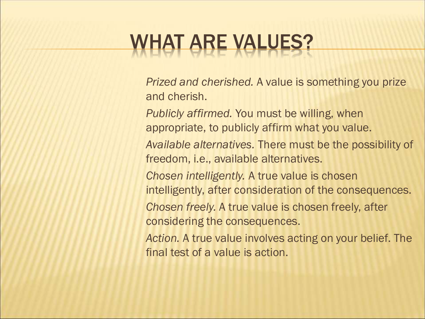*Prized and cherished.* A value is something you prize and cherish.

*Publicly affirmed.* You must be willing, when appropriate, to publicly affirm what you value.

*Available alternatives.* There must be the possibility of freedom, i.e., available alternatives.

*Chosen intelligently.* A true value is chosen

intelligently, after consideration of the consequences.

*Chosen freely.* A true value is chosen freely, after considering the consequences.

*Action.* A true value involves acting on your belief. The final test of a value is action.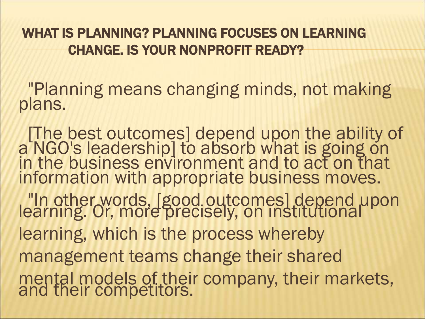WHAT IS PLANNING? PLANNING FOCUSES ON LEARNING CHANGE. IS YOUR NONPROFIT READY?

"Planning means changing minds, not making plans.

[The best outcomes] depend upon the ability of a NGO's leadership] to absorb what is going on in the business environment and to act on that information with appropriate business moves. "In other words, [good outcomes] depend upon learning. Or, more precisely, on institutional learning, which is the process whereby management teams change their shared mental models of their company, their markets, and their competitors.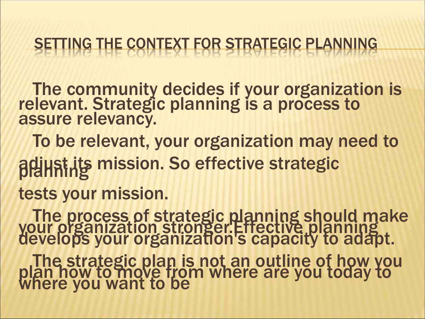#### NG THE CONTEXT FOR STRATEGIC PLANNING

The community decides if your organization is relevant. Strategic planning is a process to assure relevancy.

To be relevant, your organization may need to adiust its mission. So effective strategic tests your mission.

The process of strategic planning should make your organization stronger.Effective planning develops your organization's capacity to adapt. The strategic plan is not an outline of how you plan how to move from where are you today to where you want to be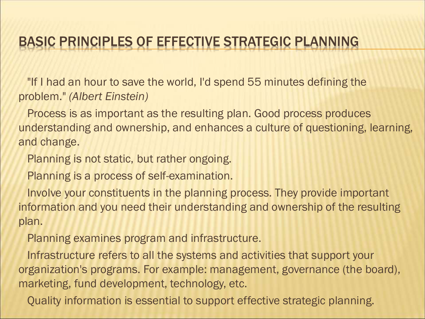#### BASIC PRINCIPLES OF EFFECTIVE STRATEGIC PLANNING

"If I had an hour to save the world, I'd spend 55 minutes defining the problem." *(Albert Einstein)*

Process is as important as the resulting plan. Good process produces understanding and ownership, and enhances a culture of questioning, learning, and change.

Planning is not static, but rather ongoing.

Planning is a process of self-examination.

Involve your constituents in the planning process. They provide important information and you need their understanding and ownership of the resulting plan.

Planning examines program and infrastructure.

Infrastructure refers to all the systems and activities that support your organization's programs. For example: management, governance (the board), marketing, fund development, technology, etc.

Quality information is essential to support effective strategic planning.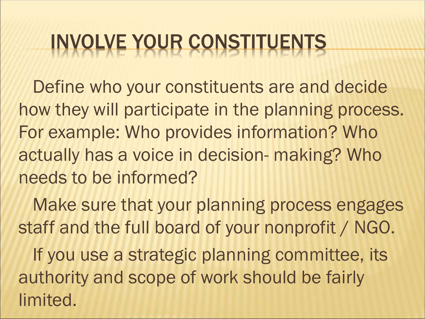# INVOLVE YOUR CONSTITUENTS

Define who your constituents are and decide how they will participate in the planning process. For example: Who provides information? Who actually has a voice in decision- making? Who needs to be informed?

Make sure that your planning process engages staff and the full board of your nonprofit / NGO. If you use a strategic planning committee, its authority and scope of work should be fairly limited.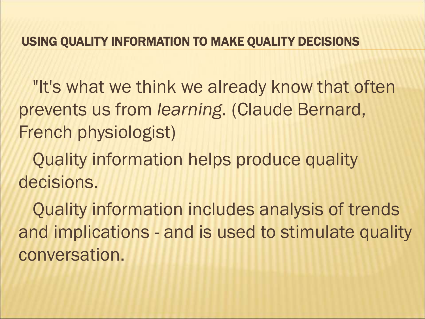#### USING QUALITY INFORMATION TO MAKE QUALITY DECISIONS

"It's what we think we already know that often prevents us from *learning.* (Claude Bernard, French physiologist)

Quality information helps produce quality decisions.

Quality information includes analysis of trends and implications - and is used to stimulate quality conversation.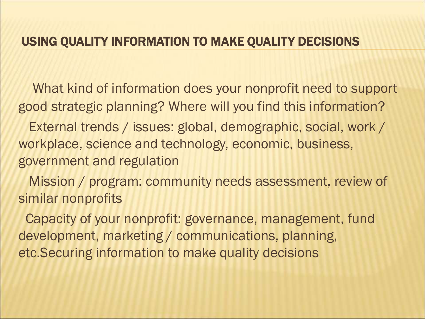#### USING QUALITY INFORMATION TO MAKE QUALITY DECISIONS

What kind of information does your nonprofit need to support good strategic planning? Where will you find this information?

External trends / issues: global, demographic, social, work / workplace, science and technology, economic, business, government and regulation

Mission / program: community needs assessment, review of similar nonprofits

Capacity of your nonprofit: governance, management, fund development, marketing / communications, planning, etc.Securing information to make quality decisions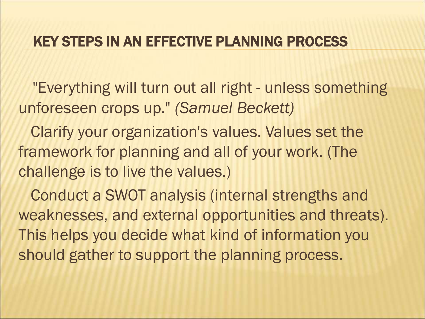"Everything will turn out all right - unless something unforeseen crops up." *(Samuel Beckett)*

Clarify your organization's values. Values set the framework for planning and all of your work. (The challenge is to live the values.)

Conduct a SWOT analysis (internal strengths and weaknesses, and external opportunities and threats). This helps you decide what kind of information you should gather to support the planning process.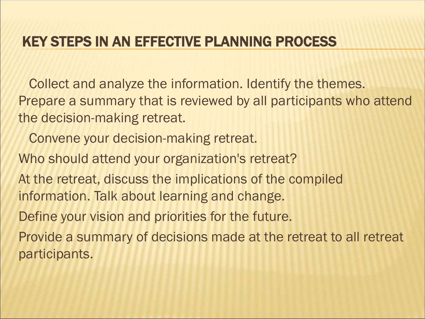Collect and analyze the information. Identify the themes. Prepare a summary that is reviewed by all participants who attend the decision-making retreat.

- Convene your decision-making retreat.
- Who should attend your organization's retreat?
- At the retreat, discuss the implications of the compiled information. Talk about learning and change.
- Define your vision and priorities for the future.
- Provide a summary of decisions made at the retreat to all retreat participants.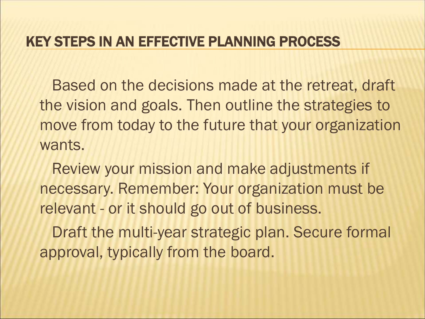Based on the decisions made at the retreat, draft the vision and goals. Then outline the strategies to move from today to the future that your organization wants.

Review your mission and make adjustments if necessary. Remember: Your organization must be relevant - or it should go out of business.

Draft the multi-year strategic plan. Secure formal approval, typically from the board.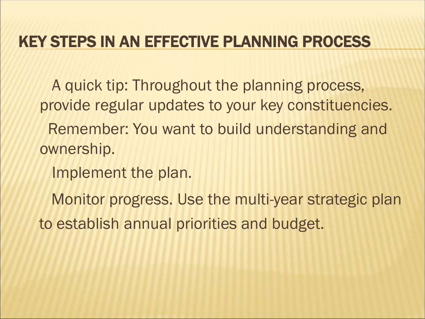A quick tip: Throughout the planning process, provide regular updates to your key constituencies.

Remember: You want to build understanding and ownership.

Implement the plan.

Monitor progress. Use the multi-year strategic plan to establish annual priorities and budget.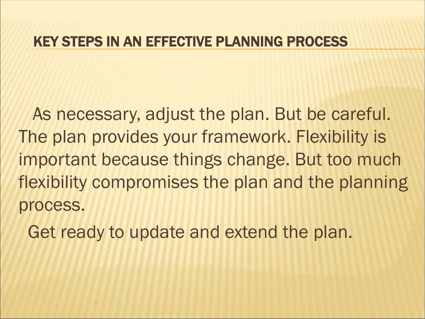As necessary, adjust the plan. But be careful. The plan provides your framework. Flexibility is important because things change. But too much flexibility compromises the plan and the planning process.

Get ready to update and extend the plan.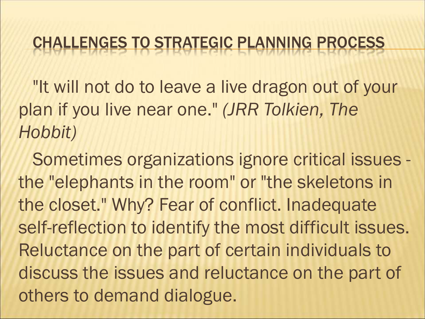#### CHALLENGES TO STRATEGIC PLANNING PROCESS

"It will not do to leave a live dragon out of your plan if you live near one." *(JRR Tolkien, The Hobbit)*

Sometimes organizations ignore critical issues the "elephants in the room" or "the skeletons in the closet." Why? Fear of conflict. Inadequate self-reflection to identify the most difficult issues. Reluctance on the part of certain individuals to discuss the issues and reluctance on the part of others to demand dialogue.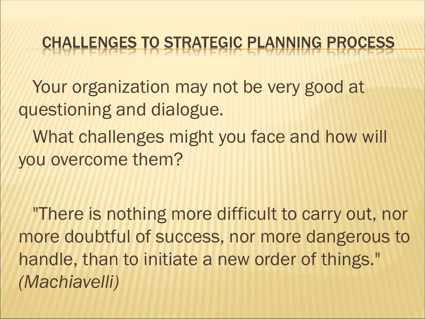#### CHALLENGES TO STRATEGIC PLANNING PROCESS

Your organization may not be very good at questioning and dialogue.

What challenges might you face and how will you overcome them?

"There is nothing more difficult to carry out, nor more doubtful of success, nor more dangerous to handle, than to initiate a new order of things." *(Machiavelli)*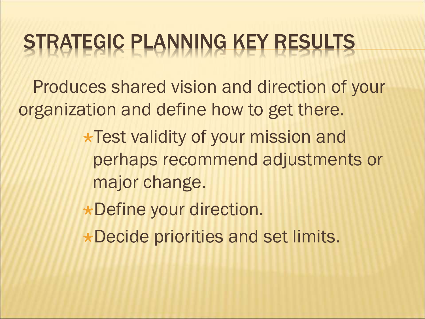Produces shared vision and direction of your organization and define how to get there.

- **\*Test validity of your mission and** perhaps recommend adjustments or major change.
- Define your direction.
- \*Decide priorities and set limits.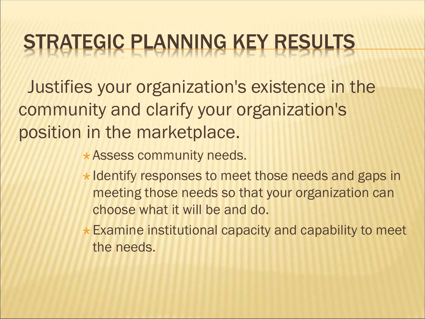Justifies your organization's existence in the community and clarify your organization's position in the marketplace.

**\* Assess community needs.** 

- $\star$  Identify responses to meet those needs and gaps in meeting those needs so that your organization can choose what it will be and do.
- $\star$  Examine institutional capacity and capability to meet the needs.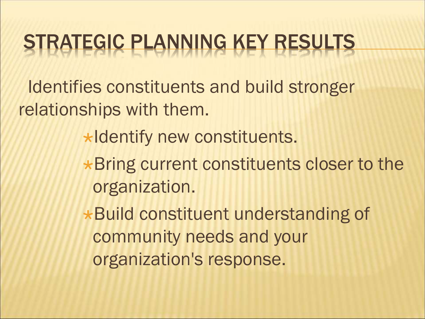Identifies constituents and build stronger relationships with them.

 $\star$ Identify new constituents.

**\*Bring current constituents closer to the** organization.

Build constituent understanding of community needs and your organization's response.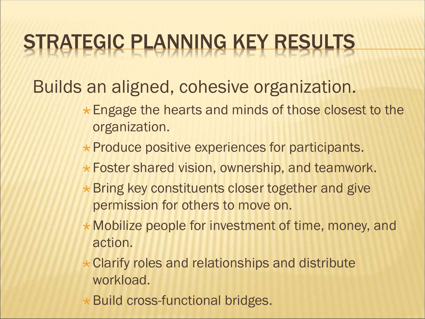Builds an aligned, cohesive organization.

- \* Engage the hearts and minds of those closest to the organization.
- $\star$  Produce positive experiences for participants.
- **\* Foster shared vision, ownership, and teamwork.**
- $\star$  Bring key constituents closer together and give permission for others to move on.
- \* Mobilize people for investment of time, money, and action.
- \* Clarify roles and relationships and distribute workload.
- \* Build cross-functional bridges.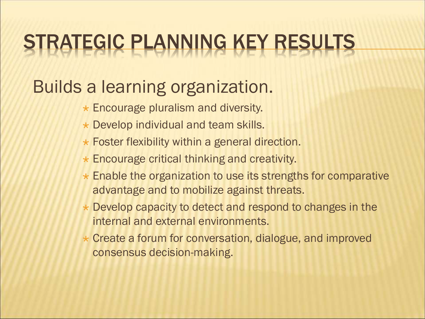#### Builds a learning organization.

- \* Encourage pluralism and diversity.
- \* Develop individual and team skills.
- **\* Foster flexibility within a general direction.**
- Encourage critical thinking and creativity.
- \* Enable the organization to use its strengths for comparative advantage and to mobilize against threats.
- \* Develop capacity to detect and respond to changes in the internal and external environments.
- \* Create a forum for conversation, dialogue, and improved consensus decision-making.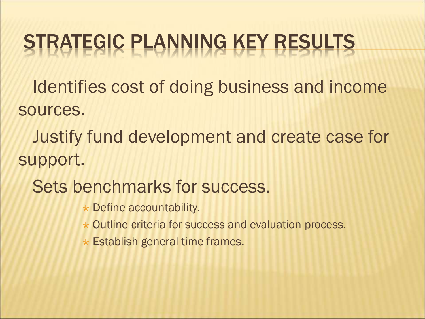Identifies cost of doing business and income sources.

Justify fund development and create case for support.

- Sets benchmarks for success.
	- $\star$  Define accountability.
	- \* Outline criteria for success and evaluation process.
	- Establish general time frames.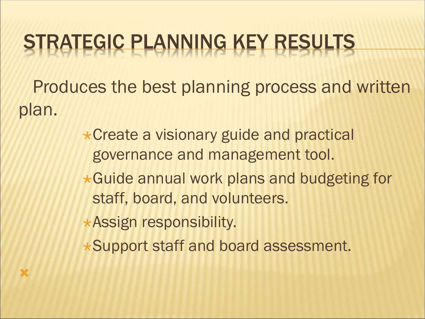Produces the best planning process and written plan.

> **\*Create a visionary guide and practical** governance and management tool.

Guide annual work plans and budgeting for staff, board, and volunteers.

Assign responsibility.

×

Support staff and board assessment.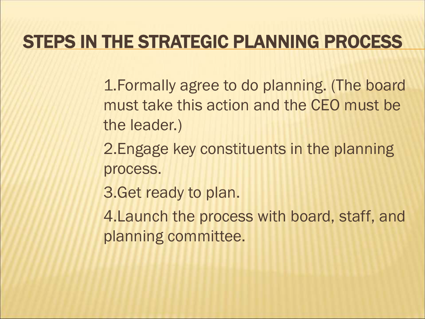#### STEPS IN THE STRATEGIC PLANNING PROCESS

1.Formally agree to do planning. (The board must take this action and the CEO must be the leader.)

2.Engage key constituents in the planning process.

3.Get ready to plan.

4.Launch the process with board, staff, and planning committee.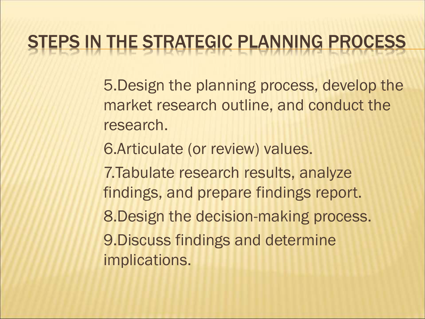#### STEPS IN THE STRATEGIC PLANNING PROCESS

5.Design the planning process, develop the market research outline, and conduct the research.

6.Articulate (or review) values.

7.Tabulate research results, analyze findings, and prepare findings report. 8.Design the decision-making process. 9.Discuss findings and determine implications.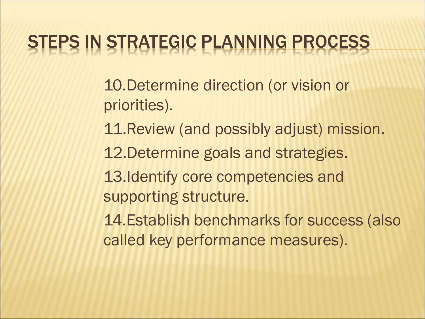#### STEPS IN STRATEGIC PLANNING PROCESS

10.Determine direction (or vision or priorities).

- 11.Review (and possibly adjust) mission.
- 12.Determine goals and strategies.
- 13.Identify core competencies and supporting structure.
- 14.Establish benchmarks for success (also called key performance measures).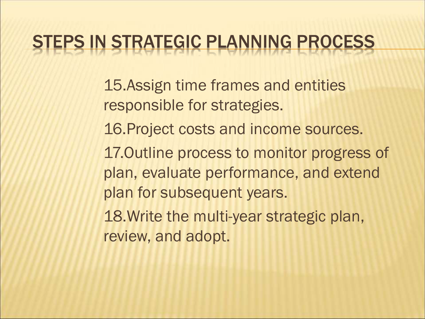#### STEPS IN STRATEGIC PLANNING PROCESS

15.Assign time frames and entities responsible for strategies.

- 16.Project costs and income sources.
- 17.Outline process to monitor progress of plan, evaluate performance, and extend plan for subsequent years.

18.Write the multi-year strategic plan, review, and adopt.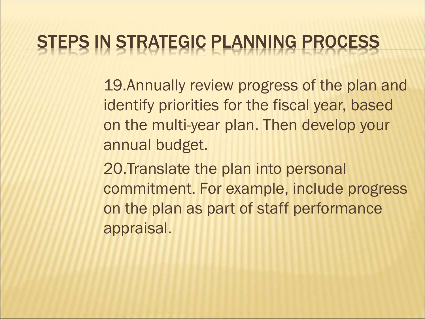#### TEPS IN STRATEGIC PLANNING PROCESS

19.Annually review progress of the plan and identify priorities for the fiscal year, based on the multi-year plan. Then develop your annual budget.

20.Translate the plan into personal commitment. For example, include progress on the plan as part of staff performance appraisal.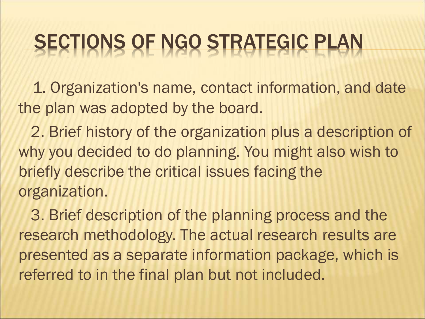1. Organization's name, contact information, and date the plan was adopted by the board.

2. Brief history of the organization plus a description of why you decided to do planning. You might also wish to briefly describe the critical issues facing the organization.

3. Brief description of the planning process and the research methodology. The actual research results are presented as a separate information package, which is referred to in the final plan but not included.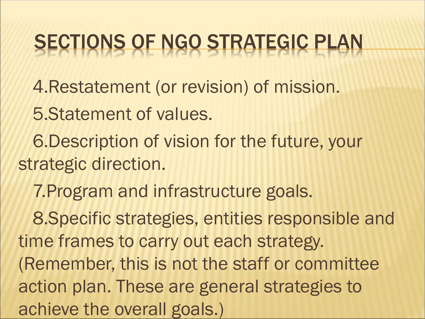4.Restatement (or revision) of mission.

5.Statement of values.

6.Description of vision for the future, your strategic direction.

7.Program and infrastructure goals.

8.Specific strategies, entities responsible and time frames to carry out each strategy. (Remember, this is not the staff or committee action plan. These are general strategies to achieve the overall goals.)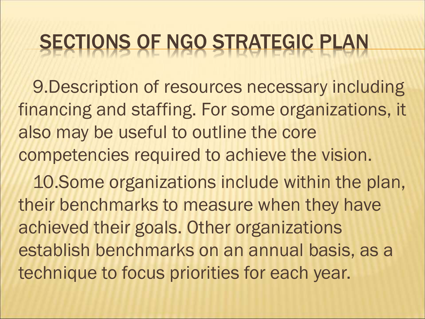9.Description of resources necessary including financing and staffing. For some organizations, it also may be useful to outline the core competencies required to achieve the vision.

10.Some organizations include within the plan, their benchmarks to measure when they have achieved their goals. Other organizations establish benchmarks on an annual basis, as a technique to focus priorities for each year.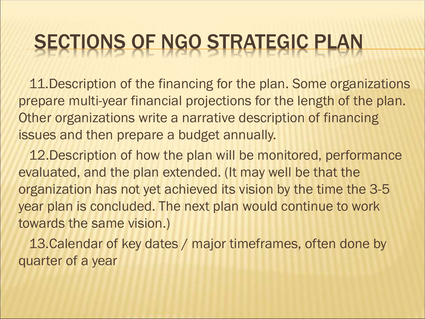11.Description of the financing for the plan. Some organizations prepare multi-year financial projections for the length of the plan. Other organizations write a narrative description of financing issues and then prepare a budget annually.

12.Description of how the plan will be monitored, performance evaluated, and the plan extended. (It may well be that the organization has not yet achieved its vision by the time the 3-5 year plan is concluded. The next plan would continue to work towards the same vision.)

13.Calendar of key dates / major timeframes, often done by quarter of a year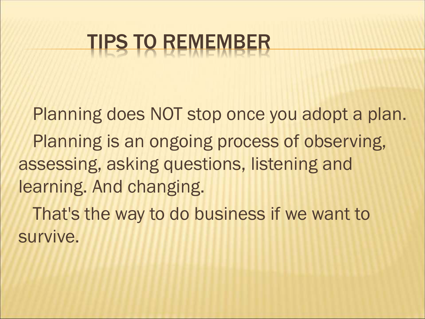# TIPS TO REMEMBER

Planning does NOT stop once you adopt a plan. Planning is an ongoing process of observing, assessing, asking questions, listening and learning. And changing. That's the way to do business if we want to survive.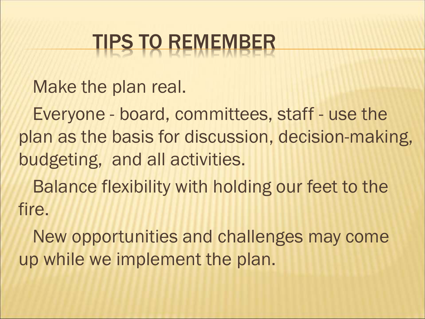# TIPS TO REMEMBER

Make the plan real.

Everyone - board, committees, staff - use the plan as the basis for discussion, decision-making, budgeting, and all activities.

Balance flexibility with holding our feet to the fire.

New opportunities and challenges may come up while we implement the plan.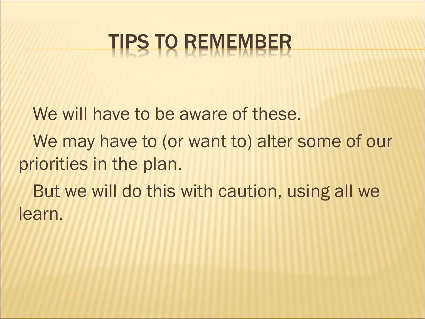## TIPS TO REMEMBER

We will have to be aware of these. We may have to (or want to) alter some of our priorities in the plan. But we will do this with caution, using all we learn.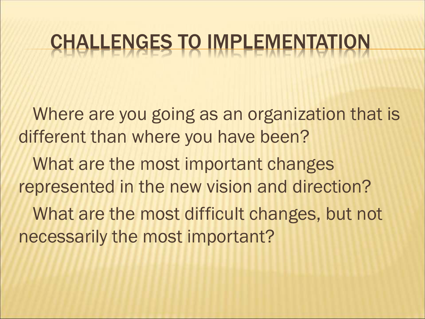Where are you going as an organization that is different than where you have been?

What are the most important changes represented in the new vision and direction?

What are the most difficult changes, but not necessarily the most important?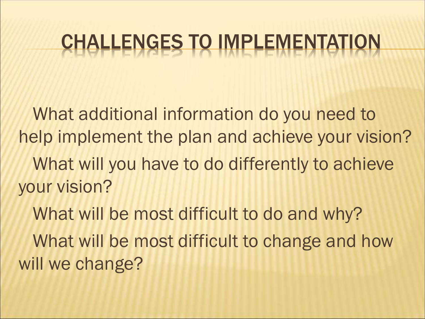What additional information do you need to help implement the plan and achieve your vision? What will you have to do differently to achieve your vision?

What will be most difficult to do and why? What will be most difficult to change and how will we change?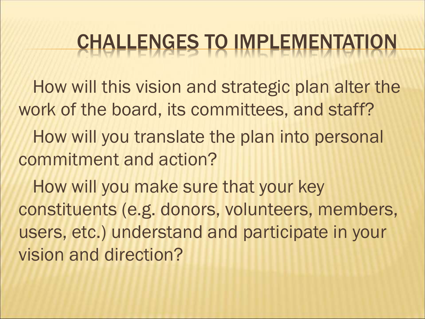How will this vision and strategic plan alter the work of the board, its committees, and staff? How will you translate the plan into personal commitment and action?

How will you make sure that your key constituents (e.g. donors, volunteers, members, users, etc.) understand and participate in your vision and direction?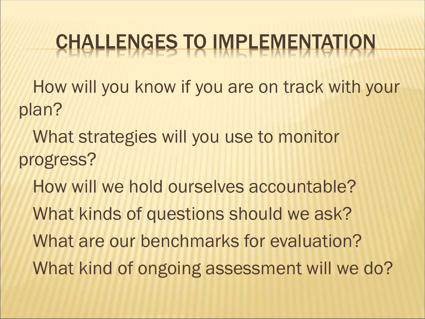How will you know if you are on track with your plan?

- What strategies will you use to monitor progress?
	- How will we hold ourselves accountable? What kinds of questions should we ask? What are our benchmarks for evaluation? What kind of ongoing assessment will we do?